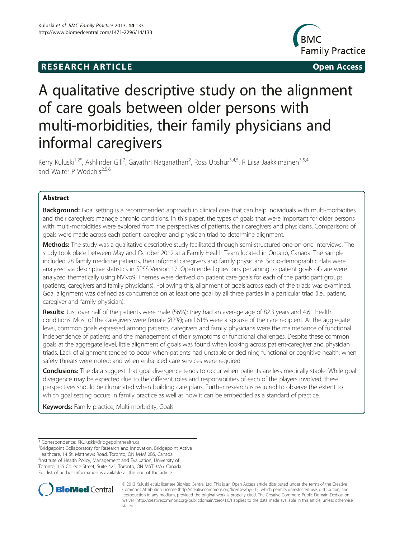# **RESEARCH ARTICLE Example 20 and 20 and 20 and 20 and 20 and 20 and 20 and 20 and 20 and 20 and 20 and 20 and 20 and 20 and 20 and 20 and 20 and 20 and 20 and 20 and 20 and 20 and 20 and 20 and 20 and 20 and 20 and 20 an**



# A qualitative descriptive study on the alignment of care goals between older persons with multi-morbidities, their family physicians and informal caregivers

Kerry Kuluski<sup>1,2\*</sup>, Ashlinder Gill<sup>2</sup>, Gayathri Naganathan<sup>2</sup>, Ross Upshur<sup>3,4,5</sup>, R Liisa Jaakkimainen<sup>3,5,4</sup> and Walter P Wodchis<sup>2,5,6</sup>

# Abstract

Background: Goal setting is a recommended approach in clinical care that can help individuals with multi-morbidities and their caregivers manage chronic conditions. In this paper, the types of goals that were important for older persons with multi-morbidities were explored from the perspectives of patients, their caregivers and physicians. Comparisons of goals were made across each patient, caregiver and physician triad to determine alignment.

Methods: The study was a qualitative descriptive study facilitated through semi-structured one-on-one interviews. The study took place between May and October 2012 at a Family Health Team located in Ontario, Canada. The sample included 28 family medicine patients, their informal caregivers and family physicians. Socio-demographic data were analyzed via descriptive statistics in SPSS Version 17. Open ended questions pertaining to patient goals of care were analyzed thematically using NVivo9. Themes were derived on patient care goals for each of the participant groups (patients, caregivers and family physicians). Following this, alignment of goals across each of the triads was examined. Goal alignment was defined as concurrence on at least one goal by all three parties in a particular triad (i.e., patient, caregiver and family physician).

Results: Just over half of the patients were male (56%); they had an average age of 82.3 years and 4.61 health conditions. Most of the caregivers were female (82%); and 61% were a spouse of the care recipient. At the aggregate level, common goals expressed among patients, caregivers and family physicians were the maintenance of functional independence of patients and the management of their symptoms or functional challenges. Despite these common goals at the aggregate level, little alignment of goals was found when looking across patient-caregiver and physician triads. Lack of alignment tended to occur when patients had unstable or declining functional or cognitive health; when safety threats were noted; and when enhanced care services were required.

Conclusions: The data suggest that goal divergence tends to occur when patients are less medically stable. While goal divergence may be expected due to the different roles and responsibilities of each of the players involved, these perspectives should be illuminated when building care plans. Further research is required to observe the extent to which goal setting occurs in family practice as well as how it can be embedded as a standard of practice.

**Keywords:** Family practice, Multi-morbidity, Goals

<sup>1</sup> Bridgepoint Collaboratory for Research and Innovation, Bridgepoint Active Healthcare, 14 St. Matthews Road, Toronto, ON M4M 2B5, Canada <sup>2</sup>Institute of Health Policy, Management and Evaluation, University of Toronto, 155 College Street, Suite 425, Toronto, ON M5T 3M6, Canada Full list of author information is available at the end of the article



© 2013 Kuluski et al.; licensee BioMed Central Ltd. This is an Open Access article distributed under the terms of the Creative Commons Attribution License [\(http://creativecommons.org/licenses/by/2.0\)](http://creativecommons.org/licenses/by/2.0), which permits unrestricted use, distribution, and reproduction in any medium, provided the original work is properly cited. The Creative Commons Public Domain Dedication waiver [\(http://creativecommons.org/publicdomain/zero/1.0/\)](http://creativecommons.org/publicdomain/zero/1.0/) applies to the data made available in this article, unless otherwise stated.

<sup>\*</sup> Correspondence: [KKuluski@Bridgepointhealth.ca](mailto:KKuluski@Bridgepointhealth.ca) <sup>1</sup>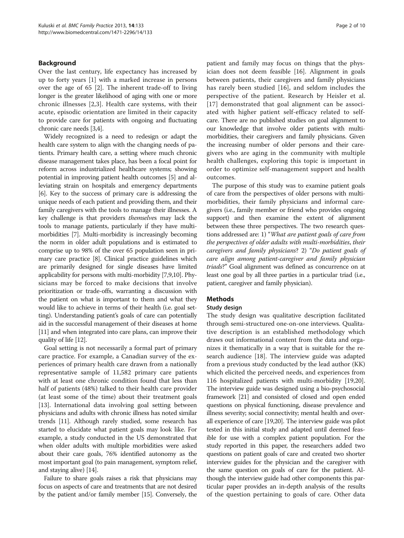## Background

Over the last century, life expectancy has increased by up to forty years [[1\]](#page-9-0) with a marked increase in persons over the age of 65 [[2\]](#page-9-0). The inherent trade-off to living longer is the greater likelihood of aging with one or more chronic illnesses [\[2](#page-9-0),[3\]](#page-9-0). Health care systems, with their acute, episodic orientation are limited in their capacity to provide care for patients with ongoing and fluctuating chronic care needs [\[3,4\]](#page-9-0).

Widely recognized is a need to redesign or adapt the health care system to align with the changing needs of patients. Primary health care, a setting where much chronic disease management takes place, has been a focal point for reform across industrialized healthcare systems; showing potential in improving patient health outcomes [[5](#page-9-0)] and alleviating strain on hospitals and emergency departments [[6](#page-9-0)]. Key to the success of primary care is addressing the unique needs of each patient and providing them, and their family caregivers with the tools to manage their illnesses. A key challenge is that providers themselves may lack the tools to manage patients, particularly if they have multimorbidities [[7](#page-9-0)]. Multi-morbidity is increasingly becoming the norm in older adult populations and is estimated to comprise up to 98% of the over 65 population seen in primary care practice [[8\]](#page-9-0). Clinical practice guidelines which are primarily designed for single diseases have limited applicability for persons with multi-morbidity [[7,9,10\]](#page-9-0). Physicians may be forced to make decisions that involve prioritization or trade-offs, warranting a discussion with the patient on what is important to them and what they would like to achieve in terms of their health (i.e. goal setting). Understanding patient's goals of care can potentially aid in the successful management of their diseases at home [[11](#page-9-0)] and when integrated into care plans, can improve their quality of life [[12](#page-9-0)].

Goal setting is not necessarily a formal part of primary care practice. For example, a Canadian survey of the experiences of primary health care drawn from a nationally representative sample of 11,582 primary care patients with at least one chronic condition found that less than half of patients (48%) talked to their health care provider (at least some of the time) about their treatment goals [[13\]](#page-9-0). International data involving goal setting between physicians and adults with chronic illness has noted similar trends [\[11\]](#page-9-0). Although rarely studied, some research has started to elucidate what patient goals may look like. For example, a study conducted in the US demonstrated that when older adults with multiple morbidities were asked about their care goals, 76% identified autonomy as the most important goal (to pain management, symptom relief, and staying alive) [\[14\]](#page-9-0).

Failure to share goals raises a risk that physicians may focus on aspects of care and treatments that are not desired by the patient and/or family member [[15](#page-9-0)]. Conversely, the

patient and family may focus on things that the physician does not deem feasible [[16](#page-9-0)]. Alignment in goals between patients, their caregivers and family physicians has rarely been studied [[16](#page-9-0)], and seldom includes the perspective of the patient. Research by Heisler et al. [[17](#page-9-0)] demonstrated that goal alignment can be associated with higher patient self-efficacy related to selfcare. There are no published studies on goal alignment to our knowledge that involve older patients with multimorbidities, their caregivers and family physicians. Given the increasing number of older persons and their caregivers who are aging in the community with multiple health challenges, exploring this topic is important in order to optimize self-management support and health outcomes.

The purpose of this study was to examine patient goals of care from the perspectives of older persons with multimorbidities, their family physicians and informal caregivers (i.e., family member or friend who provides ongoing support) and then examine the extent of alignment between these three perspectives. The two research questions addressed are: 1) "What are patient goals of care from the perspectives of older adults with multi-morbidities, their caregivers and family physicians? 2) "Do patient goals of care align among patient-caregiver and family physician triads?" Goal alignment was defined as concurrence on at least one goal by all three parties in a particular triad (i.e., patient, caregiver and family physician).

# Methods

#### Study design

The study design was qualitative description facilitated through semi-structured one-on-one interviews. Qualitative description is an established methodology which draws out informational content from the data and organizes it thematically in a way that is suitable for the research audience [[18](#page-9-0)]. The interview guide was adapted from a previous study conducted by the lead author (KK) which elicited the perceived needs, and experiences from 116 hospitalized patients with multi-morbidity [[19](#page-9-0),[20](#page-9-0)]. The interview guide was designed using a bio-psychosocial framework [[21](#page-9-0)] and consisted of closed and open ended questions on physical functioning, disease prevalence and illness severity; social connectivity; mental health and overall experience of care [\[19,20](#page-9-0)]. The interview guide was pilot tested in this initial study and adapted until deemed feasible for use with a complex patient population. For the study reported in this paper, the researchers added two questions on patient goals of care and created two shorter interview guides for the physician and the caregiver with the same question on goals of care for the patient. Although the interview guide had other components this particular paper provides an in-depth analysis of the results of the question pertaining to goals of care. Other data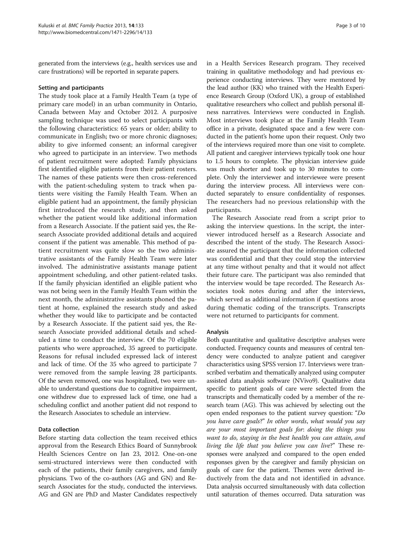generated from the interviews (e.g., health services use and care frustrations) will be reported in separate papers.

#### Setting and participants

The study took place at a Family Health Team (a type of primary care model) in an urban community in Ontario, Canada between May and October 2012. A purposive sampling technique was used to select participants with the following characteristics: 65 years or older; ability to communicate in English; two or more chronic diagnoses; ability to give informed consent; an informal caregiver who agreed to participate in an interview. Two methods of patient recruitment were adopted: Family physicians first identified eligible patients from their patient rosters. The names of these patients were then cross-referenced with the patient-scheduling system to track when patients were visiting the Family Health Team. When an eligible patient had an appointment, the family physician first introduced the research study, and then asked whether the patient would like additional information from a Research Associate. If the patient said yes, the Research Associate provided additional details and acquired consent if the patient was amenable. This method of patient recruitment was quite slow so the two administrative assistants of the Family Health Team were later involved. The administrative assistants manage patient appointment scheduling, and other patient-related tasks. If the family physician identified an eligible patient who was not being seen in the Family Health Team within the next month, the administrative assistants phoned the patient at home, explained the research study and asked whether they would like to participate and be contacted by a Research Associate. If the patient said yes, the Research Associate provided additional details and scheduled a time to conduct the interview. Of the 70 eligible patients who were approached, 35 agreed to participate. Reasons for refusal included expressed lack of interest and lack of time. Of the 35 who agreed to participate 7 were removed from the sample leaving 28 participants. Of the seven removed, one was hospitalized, two were unable to understand questions due to cognitive impairment, one withdrew due to expressed lack of time, one had a scheduling conflict and another patient did not respond to the Research Associates to schedule an interview.

#### Data collection

Before starting data collection the team received ethics approval from the Research Ethics Board of Sunnybrook Health Sciences Centre on Jan 23, 2012. One-on-one semi-structured interviews were then conducted with each of the patients, their family caregivers, and family physicians. Two of the co-authors (AG and GN) and Research Associates for the study, conducted the interviews. AG and GN are PhD and Master Candidates respectively in a Health Services Research program. They received training in qualitative methodology and had previous experience conducting interviews. They were mentored by the lead author (KK) who trained with the Health Experience Research Group (Oxford UK), a group of established qualitative researchers who collect and publish personal illness narratives. Interviews were conducted in English. Most interviews took place at the Family Health Team office in a private, designated space and a few were conducted in the patient's home upon their request. Only two of the interviews required more than one visit to complete. All patient and caregiver interviews typically took one hour to 1.5 hours to complete. The physician interview guide was much shorter and took up to 30 minutes to complete. Only the interviewer and interviewee were present during the interview process. All interviews were conducted separately to ensure confidentiality of responses. The researchers had no previous relationship with the participants.

The Research Associate read from a script prior to asking the interview questions. In the script, the interviewer introduced herself as a Research Associate and described the intent of the study. The Research Associate assured the participant that the information collected was confidential and that they could stop the interview at any time without penalty and that it would not affect their future care. The participant was also reminded that the interview would be tape recorded. The Research Associates took notes during and after the interviews, which served as additional information if questions arose during thematic coding of the transcripts. Transcripts were not returned to participants for comment.

#### Analysis

Both quantitative and qualitative descriptive analyses were conducted. Frequency counts and measures of central tendency were conducted to analyze patient and caregiver characteristics using SPSS version 17. Interviews were transcribed verbatim and thematically analyzed using computer assisted data analysis software (NVivo9). Qualitative data specific to patient goals of care were selected from the transcripts and thematically coded by a member of the research team (AG). This was achieved by selecting out the open ended responses to the patient survey question: "Do you have care goals?" In other words, what would you say are your most important goals for: doing the things you want to do, staying in the best health you can attain, and living the life that you believe you can live?" These responses were analyzed and compared to the open ended responses given by the caregiver and family physician on goals of care for the patient. Themes were derived inductively from the data and not identified in advance. Data analysis occurred simultaneously with data collection until saturation of themes occurred. Data saturation was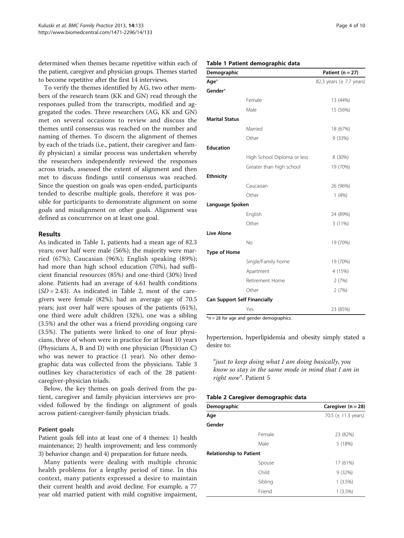determined when themes became repetitive within each of the patient, caregiver and physician groups. Themes started to become repetitive after the first 14 interviews.

To verify the themes identified by AG, two other members of the research team (KK and GN) read through the responses pulled from the transcripts, modified and aggregated the codes. Three researchers (AG, KK and GN) met on several occasions to review and discuss the themes until consensus was reached on the number and naming of themes. To discern the alignment of themes by each of the triads (i.e., patient, their caregiver and family physician) a similar process was undertaken whereby the researchers independently reviewed the responses across triads, assessed the extent of alignment and then met to discuss findings until consensus was reached. Since the question on goals was open-ended, participants tended to describe multiple goals, therefore it was possible for participants to demonstrate alignment on some goals and misalignment on other goals. Alignment was defined as concurrence on at least one goal.

#### Results

As indicated in Table 1, patients had a mean age of 82.3 years; over half were male (56%); the majority were married (67%); Caucasian (96%); English speaking (89%); had more than high school education (70%), had sufficient financial resources (85%) and one-third (30%) lived alone. Patients had an average of 4.61 health conditions  $(SD = 2.43)$ . As indicated in Table 2, most of the caregivers were female (82%); had an average age of 70.5 years; just over half were spouses of the patients (61%), one third were adult children (32%), one was a sibling (3.5%) and the other was a friend providing ongoing care (3.5%). The patients were linked to one of four physicians, three of whom were in practice for at least 10 years (Physicians A, B and D) with one physician (Physician C) who was newer to practice (1 year). No other demographic data was collected from the physicians. Table [3](#page-4-0) outlines key characteristics of each of the 28 patientcaregiver-physician triads.

Below, the key themes on goals derived from the patient, caregiver and family physician interviews are provided followed by the findings on alignment of goals across patient-caregiver-family physician triads.

#### Patient goals

Patient goals fell into at least one of 4 themes: 1) health maintenance; 2) health improvement; and less commonly 3) behavior change; and 4) preparation for future needs.

Many patients were dealing with multiple chronic health problems for a lengthy period of time. In this context, many patients expressed a desire to maintain their current health and avoid decline. For example, a 77 year old married patient with mild cognitive impairment,

#### Table 1 Patient demographic data

| Demographic           |                                     | Patient ( $n = 27$ )         |
|-----------------------|-------------------------------------|------------------------------|
| Age $*$               |                                     | 82.3 years $(\pm 7.7$ years) |
| Gender*               |                                     |                              |
|                       | Female                              | 13 (44%)                     |
|                       | Male                                | 15 (56%)                     |
| <b>Marital Status</b> |                                     |                              |
|                       | Married                             | 18 (67%)                     |
|                       | Other                               | 9 (33%)                      |
| <b>Education</b>      |                                     |                              |
|                       | High School Diploma or less         | 8 (30%)                      |
|                       | Greater than high school            | 19 (70%)                     |
| <b>Ethnicity</b>      |                                     |                              |
|                       | Caucasian                           | 26 (96%)                     |
|                       | Other                               | 1(4%)                        |
| Language Spoken       |                                     |                              |
|                       | English                             | 24 (89%)                     |
|                       | Other                               | 3(11%)                       |
| <b>Live Alone</b>     |                                     |                              |
|                       | <b>No</b>                           | 19 (70%)                     |
| <b>Type of Home</b>   |                                     |                              |
|                       | Single/Family home                  | 19 (70%)                     |
|                       | Apartment                           | 4 (15%)                      |
|                       | Retirement Home                     | 2(7%)                        |
|                       | Other                               | 2(7%)                        |
|                       | <b>Can Support Self Financially</b> |                              |
|                       | Yes                                 | 23 (85%)                     |

 $*$ n = 28 for age and gender demographics.

hypertension, hyperlipidemia and obesity simply stated a desire to:

"just to keep doing what I am doing basically, you know so stay in the same mode in mind that I am in right now". Patient 5

#### Table 2 Caregiver demographic data

| -                              |         |                                 |  |
|--------------------------------|---------|---------------------------------|--|
| Demographic                    |         | Caregiver ( $n = 28$ )          |  |
| Age                            |         | 70.5 $(\pm 11.3 \text{ years})$ |  |
| Gender                         |         |                                 |  |
|                                | Female  | 23 (82%)                        |  |
|                                | Male    | 5 (18%)                         |  |
| <b>Relationship to Patient</b> |         |                                 |  |
|                                | Spouse  | 17 (61%)                        |  |
|                                | Child   | 9(32%)                          |  |
|                                | Sibling | $1(3.5\%)$                      |  |
|                                | Friend  | $1(3.5\%)$                      |  |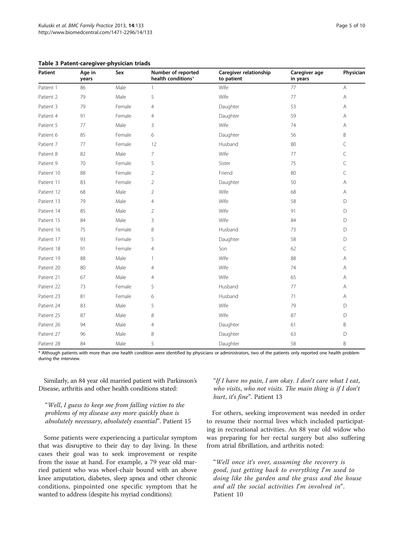<span id="page-4-0"></span>

|  |  | Table 3 Patent-caregiver-physician triads |  |  |
|--|--|-------------------------------------------|--|--|
|--|--|-------------------------------------------|--|--|

| Patient    | Age in<br>years | Sex    | Number of reported<br>health conditions* | Caregiver relationship<br>to patient | Caregiver age<br>in years | Physician                                                             |
|------------|-----------------|--------|------------------------------------------|--------------------------------------|---------------------------|-----------------------------------------------------------------------|
| Patient 1  | 86              | Male   | 1                                        | Wife                                 | 77                        | $\mathsf{A}% _{\mathsf{A}}^{\prime}=\mathsf{A}_{\mathsf{A}}^{\prime}$ |
| Patient 2  | 79              | Male   | 5                                        | Wife                                 | 77                        | Α                                                                     |
| Patient 3  | 79              | Female | 4                                        | Daughter                             | 53                        | Α                                                                     |
| Patient 4  | 91              | Female | $\overline{4}$                           | Daughter                             | 59                        | Α                                                                     |
| Patient 5  | 77              | Male   | 3                                        | Wife                                 | 74                        | Α                                                                     |
| Patient 6  | 85              | Female | 6                                        | Daughter                             | 56                        | B                                                                     |
| Patient 7  | 77              | Female | 12                                       | Husband                              | 80                        | C                                                                     |
| Patient 8  | 82              | Male   | $\overline{7}$                           | Wife                                 | 77                        | C                                                                     |
| Patient 9  | 70              | Female | 5                                        | Sister                               | 75                        | C                                                                     |
| Patient 10 | 88              | Female | $\overline{2}$                           | Friend                               | 80                        | C                                                                     |
| Patient 11 | 83              | Female | $\overline{c}$                           | Daughter                             | 50                        | Α                                                                     |
| Patient 12 | 68              | Male   | $\overline{2}$                           | Wife                                 | 68                        | Α                                                                     |
| Patient 13 | 79              | Male   | 4                                        | Wife                                 | 58                        | D                                                                     |
| Patient 14 | 85              | Male   | $\overline{2}$                           | Wife                                 | 91                        | D                                                                     |
| Patient 15 | 84              | Male   | 3                                        | Wife                                 | 84                        | D                                                                     |
| Patient 16 | 75              | Female | 8                                        | Husband                              | 73                        | D                                                                     |
| Patient 17 | 93              | Female | 5                                        | Daughter                             | 58                        | D                                                                     |
| Patient 18 | 91              | Female | $\overline{4}$                           | Son                                  | 62                        | C                                                                     |
| Patient 19 | 88              | Male   | 1                                        | Wife                                 | 88                        | A                                                                     |
| Patient 20 | 80              | Male   | 4                                        | Wife                                 | 74                        | Α                                                                     |
| Patient 21 | 67              | Male   | $\overline{4}$                           | Wife                                 | 65                        | Α                                                                     |
| Patient 22 | 73              | Female | 5                                        | Husband                              | 77                        | Α                                                                     |
| Patient 23 | 81              | Female | 6                                        | Husband                              | 71                        | Α                                                                     |
| Patient 24 | 83              | Male   | 5                                        | Wife                                 | 79                        | D                                                                     |
| Patient 25 | 87              | Male   | 8                                        | Wife                                 | 87                        | D                                                                     |
| Patient 26 | 94              | Male   | 4                                        | Daughter                             | 61                        | Β                                                                     |
| Patient 27 | 96              | Male   | 8                                        | Daughter                             | 63                        | D                                                                     |
| Patient 28 | 84              | Male   | 5                                        | Daughter                             | 58                        | B                                                                     |

\* Although patients with more than one health condition were identified by physicians or administrators, two of the patients only reported one health problem during the interview.

Similarly, an 84 year old married patient with Parkinson's Disease, arthritis and other health conditions stated:

"Well, I guess to keep me from falling victim to the problems of my disease any more quickly than is absolutely necessary, absolutely essential". Patient 15

Some patients were experiencing a particular symptom that was disruptive to their day to day living. In these cases their goal was to seek improvement or respite from the issue at hand. For example, a 79 year old married patient who was wheel-chair bound with an above knee amputation, diabetes, sleep apnea and other chronic conditions, pinpointed one specific symptom that he wanted to address (despite his myriad conditions):

"If I have no pain, I am okay. I don't care what I eat, who visits, who not visits. The main thing is if I don't hurt, it's fine". Patient 13

For others, seeking improvement was needed in order to resume their normal lives which included participating in recreational activities. An 88 year old widow who was preparing for her rectal surgery but also suffering from atrial fibrillation, and arthritis noted:

"Well once it's over, assuming the recovery is good, just getting back to everything I'm used to doing like the garden and the grass and the house and all the social activities I'm involved in". Patient 10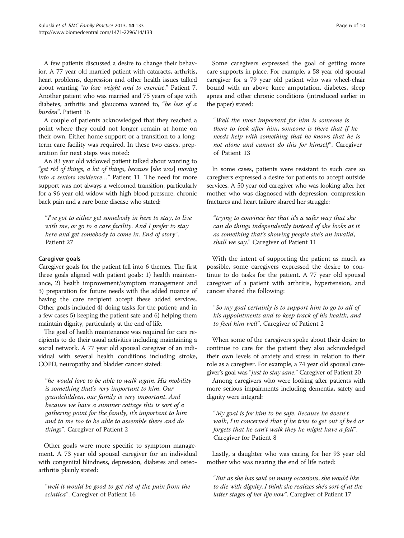A few patients discussed a desire to change their behavior. A 77 year old married patient with cataracts, arthritis, heart problems, depression and other health issues talked about wanting "to lose weight and to exercise." Patient 7. Another patient who was married and 75 years of age with diabetes, arthritis and glaucoma wanted to, "be less of a burden". Patient 16

A couple of patients acknowledged that they reached a point where they could not longer remain at home on their own. Either home support or a transition to a longterm care facility was required. In these two cases, preparation for next steps was noted:

An 83 year old widowed patient talked about wanting to "get rid of things, a lot of things, because [she was] moving into a seniors residence…" Patient 11. The need for more support was not always a welcomed transition, particularly for a 96 year old widow with high blood pressure, chronic back pain and a rare bone disease who stated:

"I've got to either get somebody in here to stay, to live with me, or go to a care facility. And I prefer to stay here and get somebody to come in. End of story". Patient 27

#### Caregiver goals

Caregiver goals for the patient fell into 6 themes. The first three goals aligned with patient goals: 1) health maintenance, 2) health improvement/symptom management and 3) preparation for future needs with the added nuance of having the care recipient accept these added services. Other goals included 4) doing tasks for the patient; and in a few cases 5) keeping the patient safe and 6) helping them maintain dignity, particularly at the end of life.

The goal of health maintenance was required for care recipients to do their usual activities including maintaining a social network. A 77 year old spousal caregiver of an individual with several health conditions including stroke, COPD, neuropathy and bladder cancer stated:

"he would love to be able to walk again. His mobility is something that's very important to him. Our grandchildren, our family is very important. And because we have a summer cottage this is sort of a gathering point for the family, it's important to him and to me too to be able to assemble there and do things". Caregiver of Patient 2

Other goals were more specific to symptom management. A 73 year old spousal caregiver for an individual with congenital blindness, depression, diabetes and osteoarthritis plainly stated:

"well it would be good to get rid of the pain from the sciatica". Caregiver of Patient 16

Some caregivers expressed the goal of getting more care supports in place. For example, a 58 year old spousal caregiver for a 79 year old patient who was wheel-chair bound with an above knee amputation, diabetes, sleep apnea and other chronic conditions (introduced earlier in the paper) stated:

"Well the most important for him is someone is there to look after him, someone is there that if he needs help with something that he knows that he is not alone and cannot do this for himself". Caregiver of Patient 13

In some cases, patients were resistant to such care so caregivers expressed a desire for patients to accept outside services. A 50 year old caregiver who was looking after her mother who was diagnosed with depression, compression fractures and heart failure shared her struggle:

"trying to convince her that it's a safer way that she can do things independently instead of she looks at it as something that's showing people she's an invalid, shall we say." Caregiver of Patient 11

With the intent of supporting the patient as much as possible, some caregivers expressed the desire to continue to do tasks for the patient. A 77 year old spousal caregiver of a patient with arthritis, hypertension, and cancer shared the following:

"So my goal certainly is to support him to go to all of his appointments and to keep track of his health, and to feed him well". Caregiver of Patient 2

When some of the caregivers spoke about their desire to continue to care for the patient they also acknowledged their own levels of anxiety and stress in relation to their role as a caregiver. For example, a 74 year old spousal caregiver's goal was "just to stay sane." Caregiver of Patient 20

Among caregivers who were looking after patients with more serious impairments including dementia, safety and dignity were integral:

"My goal is for him to be safe. Because he doesn't walk, I'm concerned that if he tries to get out of bed or forgets that he can't walk they he might have a fall". Caregiver for Patient 8

Lastly, a daughter who was caring for her 93 year old mother who was nearing the end of life noted:

"But as she has said on many occasions, she would like to die with dignity. I think she realizes she's sort of at the latter stages of her life now". Caregiver of Patient 17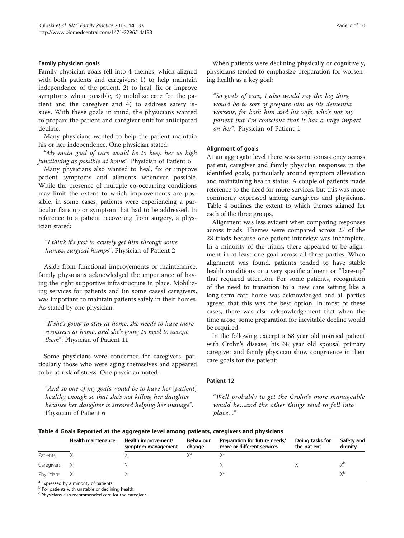## Family physician goals

Family physician goals fell into 4 themes, which aligned with both patients and caregivers: 1) to help maintain independence of the patient, 2) to heal, fix or improve symptoms when possible, 3) mobilize care for the patient and the caregiver and 4) to address safety issues. With these goals in mind, the physicians wanted to prepare the patient and caregiver unit for anticipated decline.

Many physicians wanted to help the patient maintain his or her independence. One physician stated:

"My main goal of care would be to keep her as high functioning as possible at home". Physician of Patient 6

Many physicians also wanted to heal, fix or improve patient symptoms and ailments whenever possible. While the presence of multiple co-occurring conditions may limit the extent to which improvements are possible, in some cases, patients were experiencing a particular flare up or symptom that had to be addressed. In reference to a patient recovering from surgery, a physician stated:

# "I think it's just to acutely get him through some humps, surgical humps". Physician of Patient 2

Aside from functional improvements or maintenance, family physicians acknowledged the importance of having the right supportive infrastructure in place. Mobilizing services for patients and (in some cases) caregivers, was important to maintain patients safely in their homes. As stated by one physician:

"If she's going to stay at home, she needs to have more resources at home, and she's going to need to accept them". Physician of Patient 11

Some physicians were concerned for caregivers, particularly those who were aging themselves and appeared to be at risk of stress. One physician noted:

"And so one of my goals would be to have her [patient] healthy enough so that she's not killing her daughter because her daughter is stressed helping her manage". Physician of Patient 6

When patients were declining physically or cognitively, physicians tended to emphasize preparation for worsening health as a key goal:

"So goals of care, I also would say the big thing would be to sort of prepare him as his dementia worsens, for both him and his wife, who's not my patient but I'm conscious that it has a huge impact on her". Physician of Patient 1

# Alignment of goals

At an aggregate level there was some consistency across patient, caregiver and family physician responses in the identified goals, particularly around symptom alleviation and maintaining health status. A couple of patients made reference to the need for more services, but this was more commonly expressed among caregivers and physicians. Table 4 outlines the extent to which themes aligned for each of the three groups.

Alignment was less evident when comparing responses across triads. Themes were compared across 27 of the 28 triads because one patient interview was incomplete. In a minority of the triads, there appeared to be alignment in at least one goal across all three parties. When alignment was found, patients tended to have stable health conditions or a very specific ailment or "flare-up" that required attention. For some patients, recognition of the need to transition to a new care setting like a long-term care home was acknowledged and all parties agreed that this was the best option. In most of these cases, there was also acknowledgement that when the time arose, some preparation for inevitable decline would be required.

In the following excerpt a 68 year old married patient with Crohn's disease, his 68 year old spousal primary caregiver and family physician show congruence in their care goals for the patient:

# Patient 12

"Well probably to get the Crohn's more manageable would be…and the other things tend to fall into place…"

|            | Health maintenance | Health improvement/<br>symptom management | <b>Behaviour</b><br>change | Preparation for future needs/<br>more or different services | Doing tasks for<br>the patient | Safety and<br>dignity |
|------------|--------------------|-------------------------------------------|----------------------------|-------------------------------------------------------------|--------------------------------|-----------------------|
| Patients   |                    |                                           |                            |                                                             |                                |                       |
| Caregivers |                    |                                           |                            |                                                             |                                | VΡ                    |
| Physicians |                    |                                           |                            |                                                             |                                | VΡ                    |

 $\sqrt{a}$  Expressed by a minority of patients.

 $<sup>b</sup>$  For patients with unstable or declining health.</sup>

<sup>c</sup> Physicians also recommended care for the caregiver.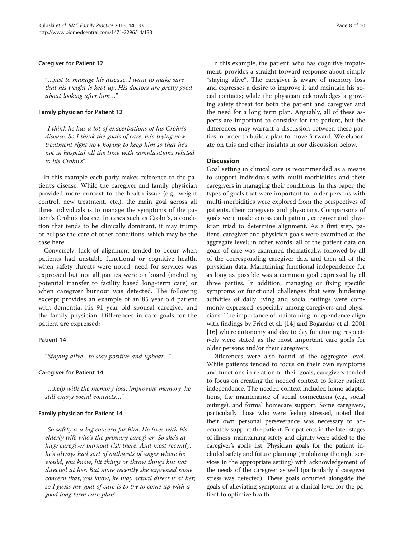## Caregiver for Patient 12

"…just to manage his disease. I want to make sure that his weight is kept up. His doctors are pretty good about looking after him…"

#### Family physician for Patient 12

"I think he has a lot of exacerbations of his Crohn's disease. So I think the goals of care, he's trying new treatment right now hoping to keep him so that he's not in hospital all the time with complications related to his Crohn's".

In this example each party makes reference to the patient's disease. While the caregiver and family physician provided more context to the health issue (e.g., weight control, new treatment, etc.), the main goal across all three individuals is to manage the symptoms of the patient's Crohn's disease. In cases such as Crohn's, a condition that tends to be clinically dominant, it may trump or eclipse the care of other conditions; which may be the case here.

Conversely, lack of alignment tended to occur when patients had unstable functional or cognitive health, when safety threats were noted, need for services was expressed but not all parties were on board (including potential transfer to facility based long-term care) or when caregiver burnout was detected. The following excerpt provides an example of an 85 year old patient with dementia, his 91 year old spousal caregiver and the family physician. Differences in care goals for the patient are expressed:

#### Patient 14

"Staying alive…to stay positive and upbeat…"

#### Caregiver for Patient 14

"…help with the memory loss, improving memory, he still enjoys social contacts…"

# Family physician for Patient 14

"So safety is a big concern for him. He lives with his elderly wife who's the primary caregiver. So she's at huge caregiver burnout risk there. And most recently, he's always had sort of outbursts of anger where he would, you know, hit things or throw things but not directed at her. But more recently she expressed some concern that, you know, he may actual direct it at her; so I guess my goal of care is to try to come up with a good long term care plan".

In this example, the patient, who has cognitive impairment, provides a straight forward response about simply "staying alive". The caregiver is aware of memory loss and expresses a desire to improve it and maintain his social contacts; while the physician acknowledges a growing safety threat for both the patient and caregiver and the need for a long term plan. Arguably, all of these aspects are important to consider for the patient, but the differences may warrant a discussion between these parties in order to build a plan to move forward. We elaborate on this and other insights in our discussion below.

# **Discussion**

Goal setting in clinical care is recommended as a means to support individuals with multi-morbidities and their caregivers in managing their conditions. In this paper, the types of goals that were important for older persons with multi-morbidities were explored from the perspectives of patients, their caregivers and physicians. Comparisons of goals were made across each patient, caregiver and physician triad to determine alignment. As a first step, patient, caregiver and physician goals were examined at the aggregate level; in other words, all of the patient data on goals of care was examined thematically, followed by all of the corresponding caregiver data and then all of the physician data. Maintaining functional independence for as long as possible was a common goal expressed by all three parties. In addition, managing or fixing specific symptoms or functional challenges that were hindering activities of daily living and social outings were commonly expressed, especially among caregivers and physicians. The importance of maintaining independence align with findings by Fried et al. [\[14](#page-9-0)] and Bogardus et al. 2001 [[16\]](#page-9-0) where autonomy and day to day functioning respectively were stated as the most important care goals for older persons and/or their caregivers.

Differences were also found at the aggregate level. While patients tended to focus on their own symptoms and functions in relation to their goals, caregivers tended to focus on creating the needed context to foster patient independence. The needed context included home adaptations, the maintenance of social connections (e.g., social outings), and formal homecare support. Some caregivers, particularly those who were feeling stressed, noted that their own personal perseverance was necessary to adequately support the patient. For patients in the later stages of illness, maintaining safety and dignity were added to the caregiver's goals list. Physician goals for the patient included safety and future planning (mobilizing the right services in the appropriate setting) with acknowledgement of the needs of the caregiver as well (particularly if caregiver stress was detected). These goals occurred alongside the goals of alleviating symptoms at a clinical level for the patient to optimize health.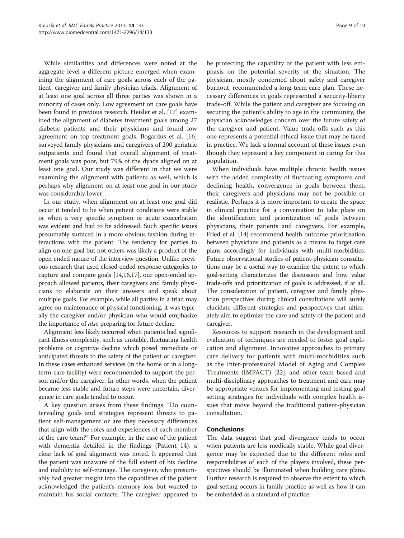While similarities and differences were noted at the aggregate level a different picture emerged when examining the alignment of care goals across each of the patient, caregiver and family physician triads. Alignment of at least one goal across all three parties was shown in a minority of cases only. Low agreement on care goals have been found in previous research. Heisler et al. [[17](#page-9-0)] examined the alignment of diabetes treatment goals among 27 diabetic patients and their physicians and found low agreement on top treatment goals. Bogardus et al. [[16](#page-9-0)] surveyed family physicians and caregivers of 200 geriatric outpatients and found that overall alignment of treatment goals was poor, but 79% of the dyads aligned on at least one goal. Our study was different in that we were examining the alignment with patients as well, which is perhaps why alignment on at least one goal in our study was considerably lower.

In our study, when alignment on at least one goal did occur it tended to be when patient conditions were stable or when a very specific symptom or acute exacerbation was evident and had to be addressed. Such specific issues presumably surfaced in a more obvious fashion during interactions with the patient. The tendency for parties to align on one goal but not others was likely a product of the open ended nature of the interview question. Unlike previous research that used closed ended response categories to capture and compare goals [\[14,16,17\]](#page-9-0), our open-ended approach allowed patients, their caregivers and family physicians to elaborate on their answers and speak about multiple goals. For example, while all parties in a triad may agree on maintenance of physical functioning, it was typically the caregiver and/or physician who would emphasize the importance of also preparing for future decline.

Alignment less likely occurred when patients had significant illness complexity, such as unstable, fluctuating health problems or cognitive decline which posed immediate or anticipated threats to the safety of the patient or caregiver. In these cases enhanced services (in the home or in a longterm care facility) were recommended to support the person and/or the caregiver. In other words, when the patient became less stable and future steps were uncertain, divergence in care goals tended to occur.

A key question arises from these findings: "Do countervailing goals and strategies represent threats to patient self-management or are they necessary differences that align with the roles and experiences of each member of the care team?" For example, in the case of the patient with dementia detailed in the findings (Patient 14), a clear lack of goal alignment was noted. It appeared that the patient was unaware of the full extent of his decline and inability to self-manage. The caregiver, who presumably had greater insight into the capabilities of the patient acknowledged the patient's memory loss but wanted to maintain his social contacts. The caregiver appeared to be protecting the capability of the patient with less emphasis on the potential severity of the situation. The physician, mostly concerned about safety and caregiver burnout, recommended a long-term care plan. These necessary differences in goals represented a security-liberty trade-off. While the patient and caregiver are focusing on securing the patient's ability to age in the community, the physician acknowledges concern over the future safety of the caregiver and patient. Value trade-offs such as this one represents a potential ethical issue that may be faced in practice. We lack a formal account of these issues even though they represent a key component in caring for this population.

When individuals have multiple chronic health issues with the added complexity of fluctuating symptoms and declining health, convergence in goals between them, their caregivers and physicians may not be possible or realistic. Perhaps it is more important to create the space in clinical practice for a conversation to take place on the identification and prioritization of goals between physicians, their patients and caregivers. For example, Fried et al. [\[14\]](#page-9-0) recommend health outcome prioritization between physicians and patients as a means to target care plans accordingly for individuals with multi-morbidities. Future observational studies of patient-physician consultations may be a useful way to examine the extent to which goal-setting characterizes the discussion and how value trade-offs and prioritization of goals is addressed, if at all. The consideration of patient, caregiver and family physician perspectives during clinical consultations will surely elucidate different strategies and perspectives that ultimately aim to optimize the care and safety of the patient and caregiver.

Resources to support research in the development and evaluation of techniques are needed to foster goal explication and alignment. Innovative approaches to primary care delivery for patients with multi-morbidities such as the Inter-professional Model of Aging and Complex Treatments (IMPACT) [[22](#page-9-0)], and other team based and multi-disciplinary approaches to treatment and care may be appropriate venues for implementing and testing goal setting strategies for individuals with complex health issues that move beyond the traditional patient-physician consultation.

#### Conclusions

The data suggest that goal divergence tends to occur when patients are less medically stable. While goal divergence may be expected due to the different roles and responsibilities of each of the players involved, these perspectives should be illuminated when building care plans. Further research is required to observe the extent to which goal setting occurs in family practice as well as how it can be embedded as a standard of practice.